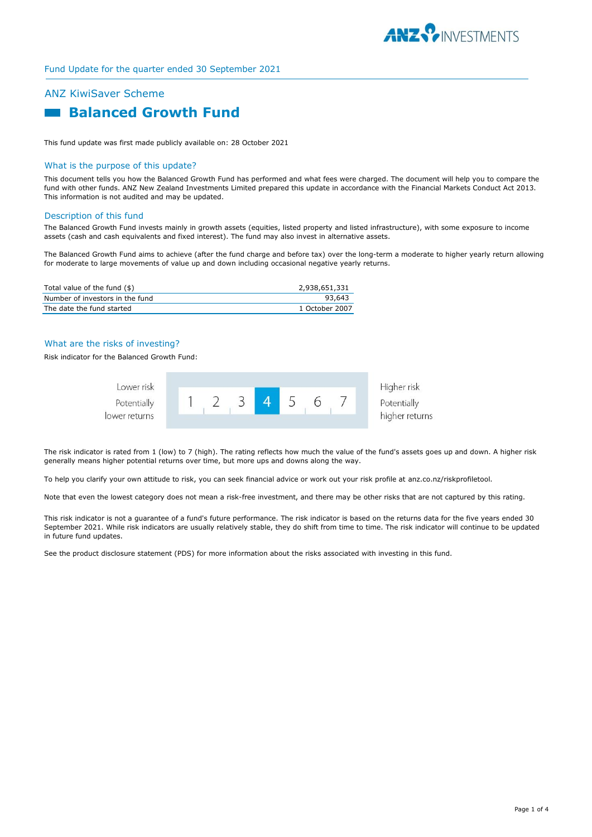

# ANZ KiwiSaver Scheme  **Balanced Growth Fund**

This fund update was first made publicly available on: 28 October 2021

#### What is the purpose of this update?

This document tells you how the Balanced Growth Fund has performed and what fees were charged. The document will help you to compare the fund with other funds. ANZ New Zealand Investments Limited prepared this update in accordance with the Financial Markets Conduct Act 2013. This information is not audited and may be updated.

#### Description of this fund

The Balanced Growth Fund invests mainly in growth assets (equities, listed property and listed infrastructure), with some exposure to income assets (cash and cash equivalents and fixed interest). The fund may also invest in alternative assets.

The Balanced Growth Fund aims to achieve (after the fund charge and before tax) over the long-term a moderate to higher yearly return allowing for moderate to large movements of value up and down including occasional negative yearly returns.

| Total value of the fund (\$)    | 2,938,651,331  |
|---------------------------------|----------------|
| Number of investors in the fund | 93.643         |
| The date the fund started       | 1 October 2007 |

## What are the risks of investing?

Risk indicator for the Balanced Growth Fund:



The risk indicator is rated from 1 (low) to 7 (high). The rating reflects how much the value of the fund's assets goes up and down. A higher risk generally means higher potential returns over time, but more ups and downs along the way.

To help you clarify your own attitude to risk, you can seek financial advice or work out your risk profile at anz.co.nz/riskprofiletool.

Note that even the lowest category does not mean a risk-free investment, and there may be other risks that are not captured by this rating.

This risk indicator is not a guarantee of a fund's future performance. The risk indicator is based on the returns data for the five years ended 30 September 2021. While risk indicators are usually relatively stable, they do shift from time to time. The risk indicator will continue to be updated in future fund updates.

See the product disclosure statement (PDS) for more information about the risks associated with investing in this fund.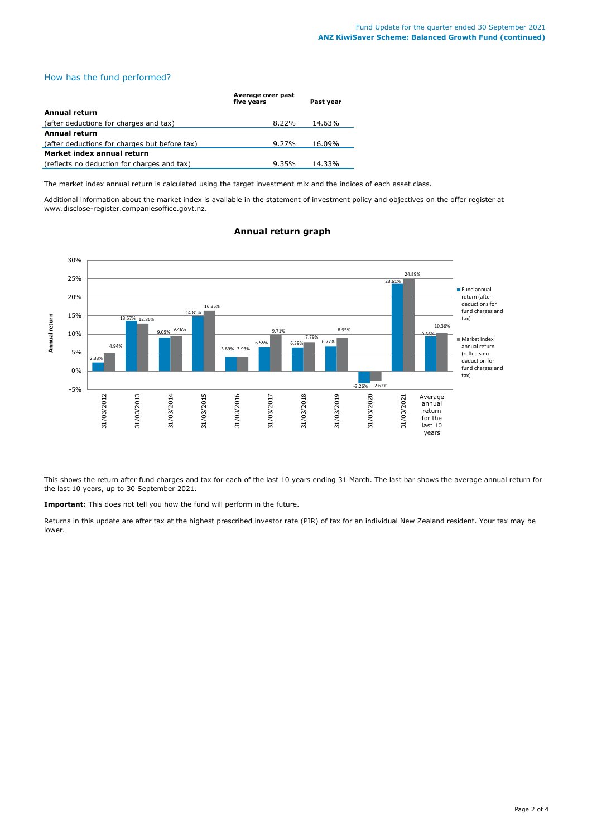# How has the fund performed?

|                                               | Average over past<br>five vears | Past vear |  |  |
|-----------------------------------------------|---------------------------------|-----------|--|--|
| Annual return                                 |                                 |           |  |  |
| (after deductions for charges and tax)        | $8.22\%$                        | 14.63%    |  |  |
| Annual return                                 |                                 |           |  |  |
| (after deductions for charges but before tax) | $9.27\%$                        | 16.09%    |  |  |
| Market index annual return                    |                                 |           |  |  |
| (reflects no deduction for charges and tax)   | $9.35\%$                        | 14.33%    |  |  |

The market index annual return is calculated using the target investment mix and the indices of each asset class.

Additional information about the market index is available in the statement of investment policy and objectives on the offer register at www.disclose-register.companiesoffice.govt.nz.



# **Annual return graph**

This shows the return after fund charges and tax for each of the last 10 years ending 31 March. The last bar shows the average annual return for the last 10 years, up to 30 September 2021.

**Important:** This does not tell you how the fund will perform in the future.

Returns in this update are after tax at the highest prescribed investor rate (PIR) of tax for an individual New Zealand resident. Your tax may be lower.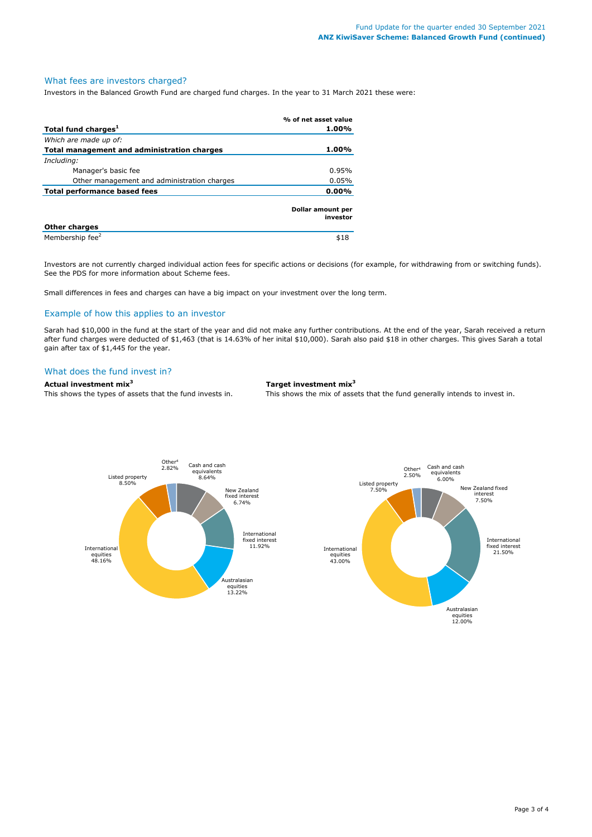#### What fees are investors charged?

Investors in the Balanced Growth Fund are charged fund charges. In the year to 31 March 2021 these were:

|                                             | % of net asset value          |
|---------------------------------------------|-------------------------------|
| Total fund charges <sup>1</sup>             | 1.00%                         |
| Which are made up of:                       |                               |
| Total management and administration charges | 1.00%                         |
| Including:                                  |                               |
| Manager's basic fee                         | 0.95%                         |
| Other management and administration charges | 0.05%                         |
| Total performance based fees                | $0.00\%$                      |
|                                             | Dollar amount per<br>investor |
| <b>Other charges</b>                        |                               |
| Membership fee <sup>2</sup>                 | \$18                          |

Investors are not currently charged individual action fees for specific actions or decisions (for example, for withdrawing from or switching funds). See the PDS for more information about Scheme fees.

Small differences in fees and charges can have a big impact on your investment over the long term.

### Example of how this applies to an investor

Sarah had \$10,000 in the fund at the start of the year and did not make any further contributions. At the end of the year, Sarah received a return after fund charges were deducted of \$1,463 (that is 14.63% of her inital \$10,000). Sarah also paid \$18 in other charges. This gives Sarah a total gain after tax of \$1,445 for the year.

#### What does the fund invest in?

# **Actual investment mix<sup>3</sup> Target investment mix<sup>3</sup>**

This shows the types of assets that the fund invests in. This shows the mix of assets that the fund generally intends to invest in.